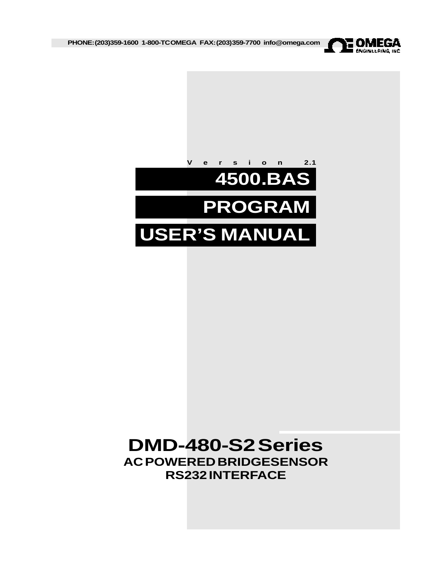

**PHONE: (203)359-1600 1-800-TC OMEGA FAX:(203)359-7700 info@omega.com**



# **DMD-480-S2 Series AC POWERED BRIDGESENSOR RS232 INTERFACE**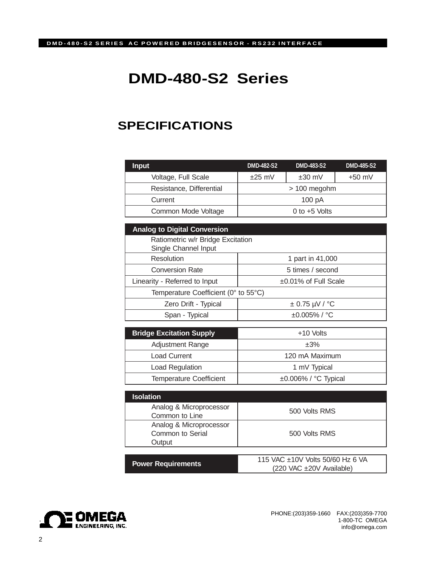# **DMD-480-S2 Series**

# **SPECIFICATIONS**

| <b>Input</b>             | <b>DMD-482-S2</b>    | <b>DMD-483-S2</b> | <b>DMD-485-S2</b> |
|--------------------------|----------------------|-------------------|-------------------|
| Voltage, Full Scale      | $±25$ mV<br>$±30$ mV |                   | $+50$ mV          |
| Resistance, Differential | $> 100$ megohm       |                   |                   |
| Current                  | 100pA                |                   |                   |
| Common Mode Voltage      | 0 to $+5$ Volts      |                   |                   |

| <b>Analog to Digital Conversion</b>  |                            |  |  |  |
|--------------------------------------|----------------------------|--|--|--|
| Ratiometric w/r Bridge Excitation    |                            |  |  |  |
| Single Channel Input                 |                            |  |  |  |
| Resolution                           | 1 part in 41,000           |  |  |  |
| <b>Conversion Rate</b>               | 5 times / second           |  |  |  |
| Linearity - Referred to Input        | $\pm 0.01\%$ of Full Scale |  |  |  |
| Temperature Coefficient (0° to 55°C) |                            |  |  |  |
| Zero Drift - Typical                 | $\pm$ 0.75 µV / °C         |  |  |  |
| Span - Typical                       | $\pm 0.005\%$ / °C         |  |  |  |

| <b>Bridge Excitation Supply</b> | +10 Volts                  |
|---------------------------------|----------------------------|
| <b>Adjustment Range</b>         | ±3%                        |
| <b>Load Current</b>             | 120 mA Maximum             |
| Load Regulation                 | 1 mV Typical               |
| <b>Temperature Coefficient</b>  | $\pm 0.006\%$ / °C Typical |

| <b>Isolation</b>                                      |                                                              |  |
|-------------------------------------------------------|--------------------------------------------------------------|--|
| Analog & Microprocessor<br>Common to Line             | 500 Volts RMS                                                |  |
| Analog & Microprocessor<br>Common to Serial<br>Output | 500 Volts RMS                                                |  |
|                                                       |                                                              |  |
| <b>Power Requirements</b>                             | 115 VAC ±10V Volts 50/60 Hz 6 VA<br>(220 VAC ±20V Available) |  |

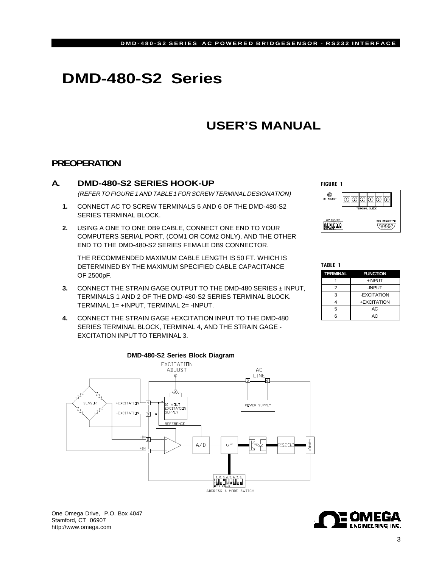# **DMD-480-S2 Series**

# **USER'S MANUAL**

# **PREOPERATION**

## **A. DMD-480-S2 SERIES HOOK-UP**

(REFER TO FIGURE 1 AND TABLE 1 FOR SCREW TERMINAL DESIGNATION)

- **1.** CONNECT AC TO SCREW TERMINALS 5 AND 6 OF THE DMD-480-S2 SERIES TERMINAL BLOCK.
- **2.** USING A ONE TO ONE DB9 CABLE, CONNECT ONE END TO YOUR COMPUTERS SERIAL PORT, (COM1 OR COM2 ONLY), AND THE OTHER END TO THE DMD-480-S2 SERIES FEMALE DB9 CONNECTOR.

THE RECOMMENDED MAXIMUM CABLE LENGTH IS 50 FT. WHICH IS DETERMINED BY THE MAXIMUM SPECIFIED CABLE CAPACITANCE OF 2500pF.

- **3.** CONNECT THE STRAIN GAGE OUTPUT TO THE DMD-480 SERIES ± INPUT, TERMINALS 1 AND 2 OF THE DMD-480-S2 SERIES TERMINAL BLOCK. TERMINAL 1= +INPUT, TERMINAL 2= -INPUT.
- **4.** CONNECT THE STRAIN GAGE +EXCITATION INPUT TO THE DMD-480 SERIES TERMINAL BLOCK, TERMINAL 4, AND THE STRAIN GAGE - EXCITATION INPUT TO TERMINAL 3.



One Omega Drive, P.O. Box 4047 Stamford, CT 06907 http://www.omega.com



**TERMINAL FUNCTION** 1 +INPUT 2 -INPUT 3 -EXCITATION 4 +EXCITATION 5 AC 6 AC TABLE 1

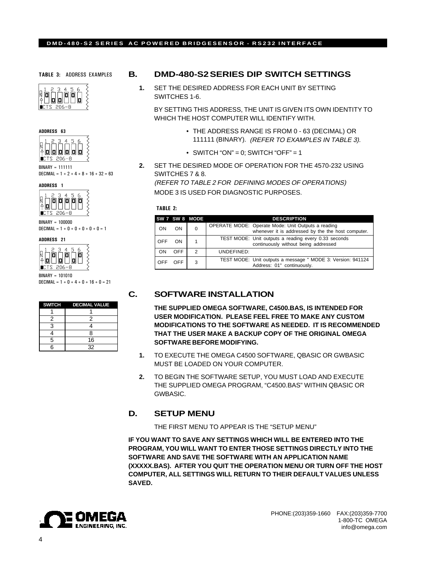#### **DMD-480-S2 SERIES AC POWERED BRIDGESENSOR - RS232 INTERFACE**

TABLE 3: ADDRESS EXAMPLES





BINARY = 111111 DECIMAL =  $1 + 2 + 4 + 8 + 16 + 32 = 63$ 

ADDRESS 1



BINARY = 100000 DECIMAL =  $1 + 0 + 0 + 0 + 0 + 0 = 1$ 





DECIMAL =  $1 + 0 + 4 + 0 + 16 + 0 = 21$ 

|   | SWITCH DECIMAL VALUE |
|---|----------------------|
|   |                      |
| 2 | 2                    |
| 3 |                      |
|   | R                    |
| 5 | 16                   |
|   | 32                   |

### **B. DMD-480-S2 SERIES DIP SWITCH SETTINGS**

**1.** SET THE DESIRED ADDRESS FOR EACH UNIT BY SETTING SWITCHES 1-6.

BY SETTING THIS ADDRESS, THE UNIT IS GIVEN ITS OWN IDENTITY TO WHICH THE HOST COMPUTER WILL IDENTIFY WITH.

- THE ADDRESS RANGE IS FROM 0 63 (DECIMAL) OR 111111 (BINARY). (REFER TO EXAMPLES IN TABLE 3).
- SWITCH "ON" = 0; SWITCH "OFF" = 1
- **2.** SET THE DESIRED MODE OF OPERATION FOR THE 4570-232 USING SWITCHES 7 & 8.

(REFER TO TABLE 2 FOR DEFINING MODES OF OPERATIONS) MODE 3 IS USED FOR DIAGNOSTIC PURPOSES.

#### TABLE 2:

|     |            | SW 7 SW 8 MODE | <b>DESCRIPTION</b>                                                                                       |  |
|-----|------------|----------------|----------------------------------------------------------------------------------------------------------|--|
| ON  | ON         | $\Omega$       | OPERATE MODE: Operate Mode: Unit Outputs a reading<br>whenever it is addressed by the the host computer. |  |
| OFF | ON.        |                | TEST MODE: Unit outputs a reading every 0.33 seconds<br>continuously without being addressed             |  |
| ON  | <b>OFF</b> | $\mathcal{P}$  | UNDEFINED:                                                                                               |  |
| OFF | <b>OFF</b> | 3              | TEST MODE: Unit outputs a message " MODE 3: Version: 941124<br>Address: 01" continuously.                |  |

## **C. SOFTWARE INSTALLATION**

**THE SUPPLIED OMEGA SOFTWARE, C4500.BAS, IS INTENDED FOR USER MODIFICATION. PLEASE FEEL FREE TO MAKE ANY CUSTOM MODIFICATIONS TO THE SOFTWARE AS NEEDED. IT IS RECOMMENDED THAT THE USER MAKE A BACKUP COPY OF THE ORIGINAL OMEGA SOFTWARE BEFORE MODIFYING.**

- **1.** TO EXECUTE THE OMEGA C4500 SOFTWARE, QBASIC OR GWBASIC MUST BE LOADED ON YOUR COMPUTER.
- **2.** TO BEGIN THE SOFTWARE SETUP, YOU MUST LOAD AND EXECUTE THE SUPPLIED OMEGA PROGRAM, "C4500.BAS" WITHIN QBASIC OR GWBASIC.

## **D. SETUP MENU**

THE FIRST MENU TO APPEAR IS THE "SETUP MENU"

**IF YOU WANT TO SAVE ANY SETTINGS WHICH WILL BE ENTERED INTO THE PROGRAM, YOU WILL WANT TO ENTER THOSE SETTINGS DIRECTLY INTO THE SOFTWARE AND SAVE THE SOFTWARE WITH AN APPLICATION NAME (XXXXX.BAS). AFTER YOU QUIT THE OPERATION MENU OR TURN OFF THE HOST COMPUTER, ALL SETTINGS WILL RETURN TO THEIR DEFAULT VALUES UNLESS SAVED.**

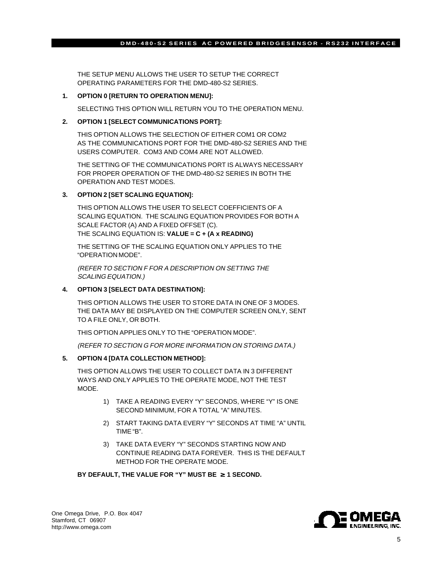#### **DMD-480-S2 SERIES AC POWERED BRIDGESENSOR - RS232 INTERFACE**

THE SETUP MENU ALLOWS THE USER TO SETUP THE CORRECT OPERATING PARAMETERS FOR THE DMD-480-S2 SERIES.

#### **1. OPTION 0 [RETURN TO OPERATION MENU]:**

SELECTING THIS OPTION WILL RETURN YOU TO THE OPERATION MENU.

#### **2. OPTION 1 [SELECT COMMUNICATIONS PORT]:**

THIS OPTION ALLOWS THE SELECTION OF EITHER COM1 OR COM2 AS THE COMMUNICATIONS PORT FOR THE DMD-480-S2 SERIES AND THE USERS COMPUTER. COM3 AND COM4 ARE NOT ALLOWED.

THE SETTING OF THE COMMUNICATIONS PORT IS ALWAYS NECESSARY FOR PROPER OPERATION OF THE DMD-480-S2 SERIES IN BOTH THE OPERATION AND TEST MODES.

#### **3. OPTION 2 [SET SCALING EQUATION]:**

THIS OPTION ALLOWS THE USER TO SELECT COEFFICIENTS OF A SCALING EQUATION. THE SCALING EQUATION PROVIDES FOR BOTH A SCALE FACTOR (A) AND A FIXED OFFSET (C). THE SCALING EQUATION IS: **VALUE = C + (A x READING)**

THE SETTING OF THE SCALING EQUATION ONLY APPLIES TO THE "OPERATION MODE".

(REFER TO SECTION F FOR A DESCRIPTION ON SETTING THE SCALING EQUATION.)

#### **4. OPTION 3 [SELECT DATA DESTINATION]:**

THIS OPTION ALLOWS THE USER TO STORE DATA IN ONE OF 3 MODES. THE DATA MAY BE DISPLAYED ON THE COMPUTER SCREEN ONLY, SENT TO A FILE ONLY, OR BOTH.

THIS OPTION APPLIES ONLY TO THE "OPERATION MODE".

(REFER TO SECTION G FOR MORE INFORMATION ON STORING DATA.)

#### **5. OPTION 4 [DATA COLLECTION METHOD]:**

THIS OPTION ALLOWS THE USER TO COLLECT DATA IN 3 DIFFERENT WAYS AND ONLY APPLIES TO THE OPERATE MODE, NOT THE TEST MODE.

- 1) TAKE A READING EVERY "Y" SECONDS, WHERE "Y" IS ONE SECOND MINIMUM, FOR A TOTAL "A" MINUTES.
- 2) START TAKING DATA EVERY "Y" SECONDS AT TIME "A" UNTIL TIME "B".
- 3) TAKE DATA EVERY "Y" SECONDS STARTING NOW AND CONTINUE READING DATA FOREVER. THIS IS THE DEFAULT METHOD FOR THE OPERATE MODE.

#### **BY DEFAULT, THE VALUE FOR "Y" MUST BE** ≥ **1 SECOND.**

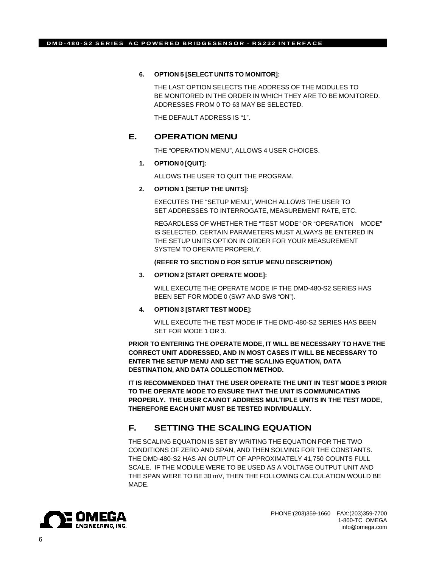#### **6. OPTION 5 [SELECT UNITS TO MONITOR]:**

THE LAST OPTION SELECTS THE ADDRESS OF THE MODULES TO BE MONITORED IN THE ORDER IN WHICH THEY ARE TO BE MONITORED. ADDRESSES FROM 0 TO 63 MAY BE SELECTED.

THE DEFAULT ADDRESS IS "1".

### **E. OPERATION MENU**

THE "OPERATION MENU", ALLOWS 4 USER CHOICES.

#### **1. OPTION 0 [QUIT]:**

ALLOWS THE USER TO QUIT THE PROGRAM.

#### **2. OPTION 1 [SETUP THE UNITS]:**

EXECUTES THE "SETUP MENU", WHICH ALLOWS THE USER TO SET ADDRESSES TO INTERROGATE, MEASUREMENT RATE, ETC.

REGARDLESS OF WHETHER THE "TEST MODE" OR "OPERATION MODE" IS SELECTED, CERTAIN PARAMETERS MUST ALWAYS BE ENTERED IN THE SETUP UNITS OPTION IN ORDER FOR YOUR MEASUREMENT SYSTEM TO OPERATE PROPERLY.

#### **(REFER TO SECTION D FOR SETUP MENU DESCRIPTION)**

#### **3. OPTION 2 [START OPERATE MODE]:**

WILL EXECUTE THE OPERATE MODE IF THE DMD-480-S2 SERIES HAS BEEN SET FOR MODE 0 (SW7 AND SW8 "ON").

#### **4. OPTION 3 [START TEST MODE]:**

WILL EXECUTE THE TEST MODE IF THE DMD-480-S2 SERIES HAS BEEN SET FOR MODE 1 OR 3.

**PRIOR TO ENTERING THE OPERATE MODE, IT WILL BE NECESSARY TO HAVE THE CORRECT UNIT ADDRESSED, AND IN MOST CASES IT WILL BE NECESSARY TO ENTER THE SETUP MENU AND SET THE SCALING EQUATION, DATA DESTINATION, AND DATA COLLECTION METHOD.**

**IT IS RECOMMENDED THAT THE USER OPERATE THE UNIT IN TEST MODE 3 PRIOR TO THE OPERATE MODE TO ENSURE THAT THE UNIT IS COMMUNICATING PROPERLY. THE USER CANNOT ADDRESS MULTIPLE UNITS IN THE TEST MODE, THEREFORE EACH UNIT MUST BE TESTED INDIVIDUALLY.**

# **F. SETTING THE SCALING EQUATION**

THE SCALING EQUATION IS SET BY WRITING THE EQUATION FOR THE TWO CONDITIONS OF ZERO AND SPAN, AND THEN SOLVING FOR THE CONSTANTS. THE DMD-480-S2 HAS AN OUTPUT OF APPROXIMATELY 41,750 COUNTS FULL SCALE. IF THE MODULE WERE TO BE USED AS A VOLTAGE OUTPUT UNIT AND THE SPAN WERE TO BE 30 mV, THEN THE FOLLOWING CALCULATION WOULD BE MADE.

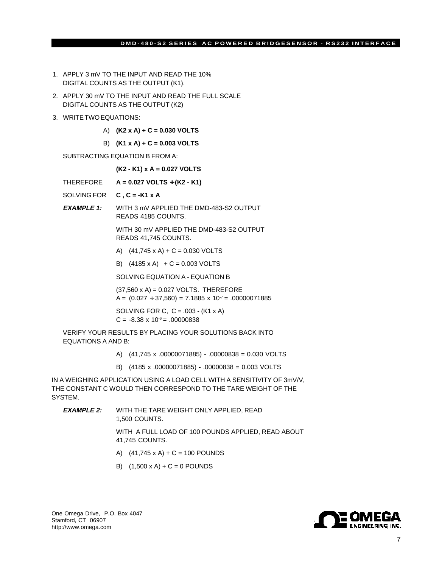#### **DMD-480-S2 SERIES AC POWERED BRIDGESENSOR - RS232 INTERFACE**

- 1. APPLY 3 mV TO THE INPUT AND READ THE 10% DIGITAL COUNTS AS THE OUTPUT (K1).
- 2. APPLY 30 mV TO THE INPUT AND READ THE FULL SCALE DIGITAL COUNTS AS THE OUTPUT (K2)
- 3. WRITE TWO EQUATIONS:
	- A) **(K2 x A) + C = 0.030 VOLTS**
	- B) **(K1 x A) + C = 0.003 VOLTS**

SUBTRACTING EQUATION B FROM A:

**(K2 - K1) x A = 0.027 VOLTS**

- THEREFORE **A = 0.027 VOLTS** ÷ **(K2 K1)**
- SOLVING FOR **C , C = -K1 x A**
- **EXAMPLE 1:** WITH 3 mV APPLIED THE DMD-483-S2 OUTPUT READS 4185 COUNTS.

WITH 30 mV APPLIED THE DMD-483-S2 OUTPUT READS 41,745 COUNTS.

- A)  $(41,745 \times A) + C = 0.030 \text{ VOLTS}$
- B)  $(4185 \times A) + C = 0.003 \text{ VOLTS}$

SOLVING EQUATION A - EQUATION B

(37,560 x A) = 0.027 VOLTS. THEREFORE A =  $(0.027 \div 37,560) = 7.1885 \times 10^{-7} = .00000071885$ 

SOLVING FOR C,  $C = .003 - (K1 \times A)$  $C = -8.38 \times 10^{-6} = .00000838$ 

VERIFY YOUR RESULTS BY PLACING YOUR SOLUTIONS BACK INTO EQUATIONS A AND B:

- A) (41,745 x .00000071885) .00000838 = 0.030 VOLTS
- B) (4185 x .00000071885) .00000838 = 0.003 VOLTS

IN A WEIGHING APPLICATION USING A LOAD CELL WITH A SENSITIVITY OF 3mV/V, THE CONSTANT C WOULD THEN CORRESPOND TO THE TARE WEIGHT OF THE SYSTEM.

**EXAMPLE 2:** WITH THE TARE WEIGHT ONLY APPLIED, READ 1,500 COUNTS.

> WITH A FULL LOAD OF 100 POUNDS APPLIED, READ ABOUT 41,745 COUNTS.

- A)  $(41,745 \times A) + C = 100$  POUNDS
- B)  $(1,500 \times A) + C = 0$  POUNDS